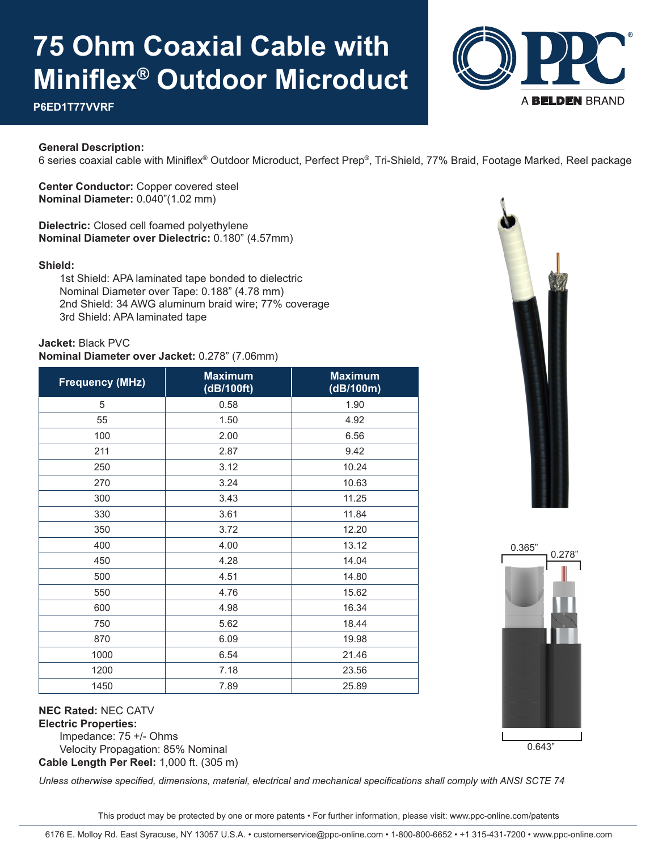# **75 Ohm Coaxial Cable with Miniflex® Outdoor Microduct**



### **P6ED1T77VVRF**

#### **General Description:**

6 series coaxial cable with Miniflex® Outdoor Microduct, Perfect Prep®, Tri-Shield, 77% Braid, Footage Marked, Reel package

**Center Conductor:** Copper covered steel **Nominal Diameter:** 0.040"(1.02 mm)

**Dielectric:** Closed cell foamed polyethylene **Nominal Diameter over Dielectric:** 0.180" (4.57mm)

#### **Shield:**

 1st Shield: APA laminated tape bonded to dielectric Nominal Diameter over Tape: 0.188" (4.78 mm) 2nd Shield: 34 AWG aluminum braid wire; 77% coverage 3rd Shield: APA laminated tape

**Jacket:** Black PVC

#### **Nominal Diameter over Jacket:** 0.278" (7.06mm)

| <b>Frequency (MHz)</b> | <b>Maximum</b><br>(dB/100ft) | <b>Maximum</b><br>(dB/100m) |  |  |
|------------------------|------------------------------|-----------------------------|--|--|
| 5                      | 0.58                         | 1.90                        |  |  |
| 55                     | 1.50                         | 4.92                        |  |  |
| 100                    | 2.00                         | 6.56                        |  |  |
| 211                    | 2.87                         | 9.42                        |  |  |
| 250                    | 3.12                         | 10.24                       |  |  |
| 270                    | 3.24                         | 10.63                       |  |  |
| 300                    | 3.43                         | 11.25                       |  |  |
| 330                    | 3.61                         | 11.84                       |  |  |
| 350                    | 3.72                         | 12.20                       |  |  |
| 400                    | 4.00                         | 13.12                       |  |  |
| 450                    | 4.28                         | 14.04                       |  |  |
| 500                    | 4.51                         | 14.80                       |  |  |
| 550                    | 4.76                         | 15.62                       |  |  |
| 600                    | 4.98                         | 16.34                       |  |  |
| 750                    | 5.62                         | 18.44                       |  |  |
| 870                    | 6.09                         | 19.98                       |  |  |
| 1000                   | 6.54                         | 21.46                       |  |  |
| 1200                   | 7.18                         | 23.56                       |  |  |
| 1450                   | 7.89                         | 25.89                       |  |  |





### **NEC Rated:** NEC CATV **Electric Properties:**

 Impedance: 75 +/- Ohms Velocity Propagation: 85% Nominal **Cable Length Per Reel:** 1,000 ft. (305 m)

*Unless otherwise specified, dimensions, material, electrical and mechanical specifications shall comply with ANSI SCTE 74*

This product may be protected by one or more patents • For further information, please visit: www.ppc-online.com/patents